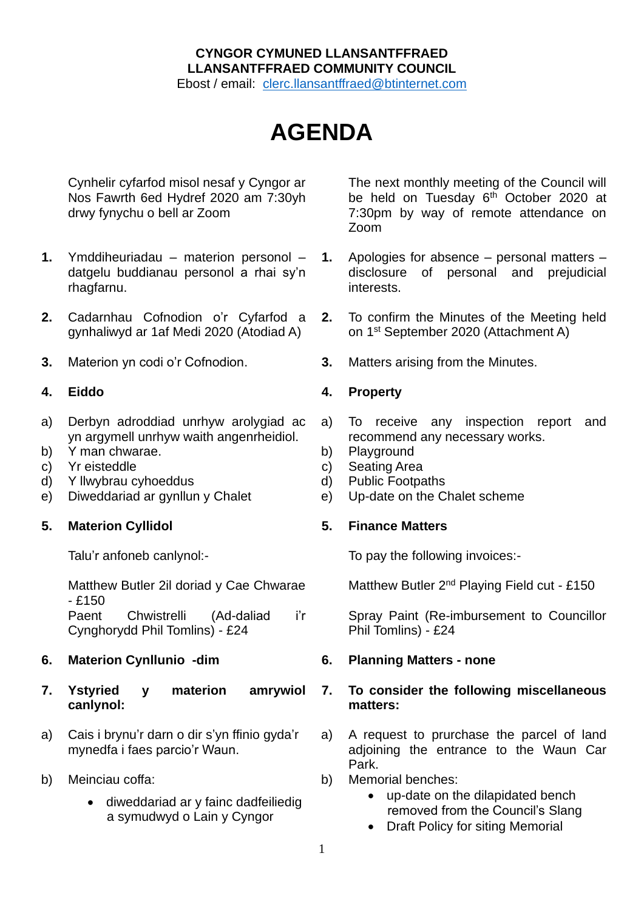## **CYNGOR CYMUNED LLANSANTFFRAED LLANSANTFFRAED COMMUNITY COUNCIL**

Ebost / email: [clerc.llansantffraed@btinternet.com](mailto:clerc.llansantffraed@btinternet.com)

# **AGENDA**

Cynhelir cyfarfod misol nesaf y Cyngor ar Nos Fawrth 6ed Hydref 2020 am 7:30yh drwy fynychu o bell ar Zoom

- **1.** Ymddiheuriadau materion personol datgelu buddianau personol a rhai sy'n rhagfarnu.
- **2.** Cadarnhau Cofnodion o'r Cyfarfod a gynhaliwyd ar 1af Medi 2020 (Atodiad A)
- 

- a) Derbyn adroddiad unrhyw arolygiad ac yn argymell unrhyw waith angenrheidiol.
- b) Y man chwarae. b) Playground
- c) Yr eisteddle c) Seating Area
- d) Y llwybrau cyhoeddus d) Public Footpaths
- e) Diweddariad ar gynllun y Chalet e) Up-date on the Chalet scheme

### **5. Materion Cyllidol 5. Finance Matters**

Talu'r anfoneb canlynol:-

Matthew Butler 2il doriad y Cae Chwarae  $- f150$ 

Paent Chwistrelli (Ad-daliad i'r Cynghorydd Phil Tomlins) - £24

### **6. Materion Cynllunio -dim 6. Planning Matters - none**

- **7. Ystyried y materion amrywiol canlynol:**
- a) Cais i brynu'r darn o dir s'yn ffinio gyda'r mynedfa i faes parcio'r Waun.
- b) Meinciau coffa:
	- diweddariad ar y fainc dadfeiliedig a symudwyd o Lain y Cyngor

The next monthly meeting of the Council will be held on Tuesday 6<sup>th</sup> October 2020 at 7:30pm by way of remote attendance on Zoom

- **1.** Apologies for absence personal matters disclosure of personal and prejudicial interests.
- **2.** To confirm the Minutes of the Meeting held on 1 st September 2020 (Attachment A)
- **3.** Materion yn codi o'r Cofnodion. **3.** Matters arising from the Minutes.

### **4. Eiddo 4. Property**

- a) To receive any inspection report and recommend any necessary works.
- 
- 
- 
- 

To pay the following invoices:-

Matthew Butler 2<sup>nd</sup> Playing Field cut - £150

Spray Paint (Re-imbursement to Councillor Phil Tomlins) - £24

### **7. To consider the following miscellaneous matters:**

- a) A request to prurchase the parcel of land adjoining the entrance to the Waun Car Park.
- b) Memorial benches:
	- up-date on the dilapidated bench removed from the Council's Slang
	- Draft Policy for siting Memorial